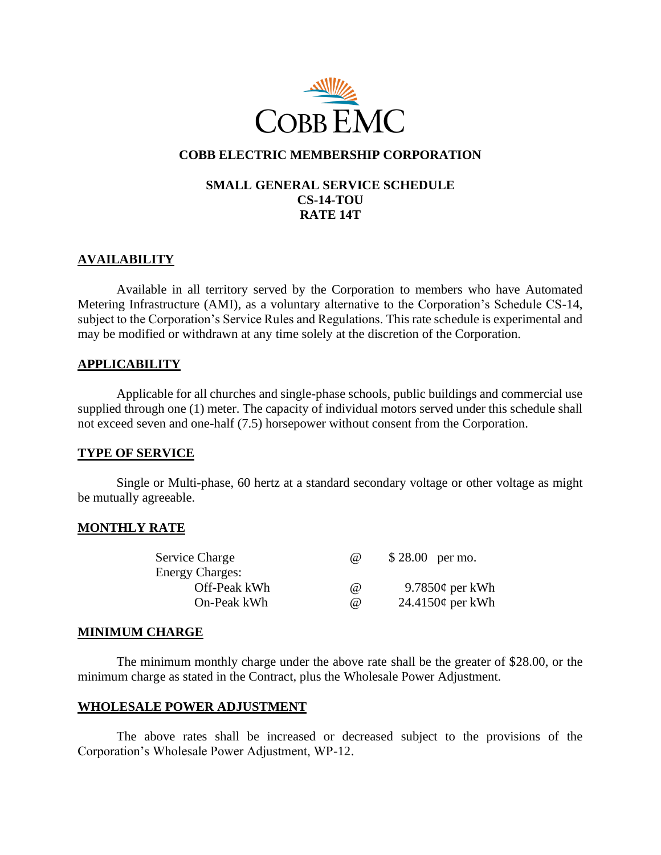

# **COBB ELECTRIC MEMBERSHIP CORPORATION**

# **SMALL GENERAL SERVICE SCHEDULE CS-14-TOU RATE 14T**

# **AVAILABILITY**

Available in all territory served by the Corporation to members who have Automated Metering Infrastructure (AMI), as a voluntary alternative to the Corporation's Schedule CS-14, subject to the Corporation's Service Rules and Regulations. This rate schedule is experimental and may be modified or withdrawn at any time solely at the discretion of the Corporation.

# **APPLICABILITY**

Applicable for all churches and single-phase schools, public buildings and commercial use supplied through one (1) meter. The capacity of individual motors served under this schedule shall not exceed seven and one-half (7.5) horsepower without consent from the Corporation.

## **TYPE OF SERVICE**

Single or Multi-phase, 60 hertz at a standard secondary voltage or other voltage as might be mutually agreeable.

## **MONTHLY RATE**

| Service Charge         | (a)      | $$28.00$ per mo. |                           |
|------------------------|----------|------------------|---------------------------|
| <b>Energy Charges:</b> |          |                  |                           |
| Off-Peak kWh           | (a)      | 9.7850¢ per kWh  |                           |
| On-Peak kWh            | $\omega$ |                  | 24.4150 $\varphi$ per kWh |
|                        |          |                  |                           |

## **MINIMUM CHARGE**

The minimum monthly charge under the above rate shall be the greater of \$28.00, or the minimum charge as stated in the Contract, plus the Wholesale Power Adjustment.

## **WHOLESALE POWER ADJUSTMENT**

The above rates shall be increased or decreased subject to the provisions of the Corporation's Wholesale Power Adjustment, WP-12.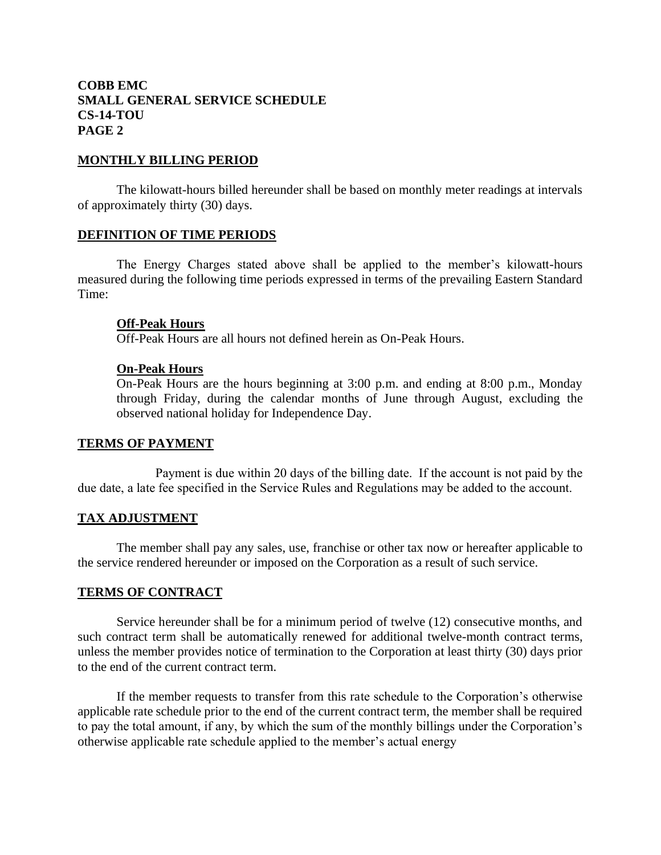# **COBB EMC SMALL GENERAL SERVICE SCHEDULE CS-14-TOU PAGE 2**

### **MONTHLY BILLING PERIOD**

The kilowatt-hours billed hereunder shall be based on monthly meter readings at intervals of approximately thirty (30) days.

### **DEFINITION OF TIME PERIODS**

The Energy Charges stated above shall be applied to the member's kilowatt-hours measured during the following time periods expressed in terms of the prevailing Eastern Standard Time:

#### **Off-Peak Hours**

Off-Peak Hours are all hours not defined herein as On-Peak Hours.

### **On-Peak Hours**

On-Peak Hours are the hours beginning at 3:00 p.m. and ending at 8:00 p.m., Monday through Friday, during the calendar months of June through August, excluding the observed national holiday for Independence Day.

#### **TERMS OF PAYMENT**

Payment is due within 20 days of the billing date. If the account is not paid by the due date, a late fee specified in the Service Rules and Regulations may be added to the account.

## **TAX ADJUSTMENT**

The member shall pay any sales, use, franchise or other tax now or hereafter applicable to the service rendered hereunder or imposed on the Corporation as a result of such service.

## **TERMS OF CONTRACT**

Service hereunder shall be for a minimum period of twelve (12) consecutive months, and such contract term shall be automatically renewed for additional twelve-month contract terms, unless the member provides notice of termination to the Corporation at least thirty (30) days prior to the end of the current contract term.

If the member requests to transfer from this rate schedule to the Corporation's otherwise applicable rate schedule prior to the end of the current contract term, the member shall be required to pay the total amount, if any, by which the sum of the monthly billings under the Corporation's otherwise applicable rate schedule applied to the member's actual energy